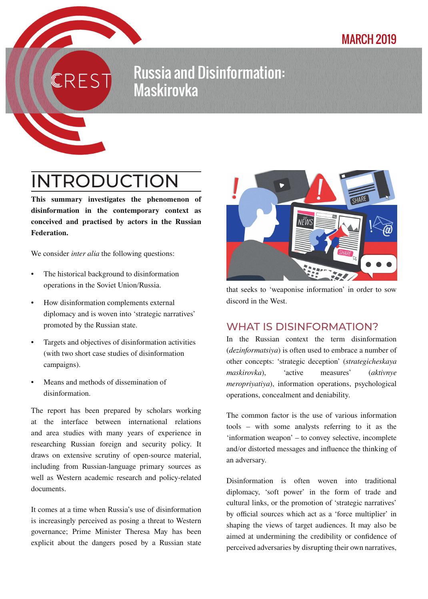### MARCH 2019

## Russia and Disinformation: **Maskirovka**

# INTRODUCTION

 $\overline{\mathsf{S}}$ 

This summary investigates the phenomenon of disinformation in the contemporary context as conceived and practised by actors in the Russian Federation.

We consider *inter alia* the following questions:

- The historical background to disinformation operations in the Soviet Union/Russia.
- How disinformation complements external diplomacy and is woven into 'strategic narratives' promoted by the Russian state.
- Targets and objectives of disinformation activities (with two short case studies of disinformation campaigns).
- Means and methods of dissemination of disinformation.

The report has been prepared by scholars working at the interface between international relations and area studies with many years of experience in researching Russian foreign and security policy. It draws on extensive scrutiny of open-source material, including from Russian-language primary sources as well as Western academic research and policy-related documents.

It comes at a time when Russia's use of disinformation is increasingly perceived as posing a threat to Western governance; Prime Minister Theresa May has been explicit about the dangers posed by a Russian state



that seeks to 'weaponise information' in order to sow discord in the West.

#### WHAT IS DISINFORMATION?

In the Russian context the term disinformation (*dezinformatsiya*) is often used to embrace a number of other concepts: 'strategic deception' (*strategicheskaya maskirovka*), 'active measures' (*aktivnye meropriyatiya*), information operations, psychological operations, concealment and deniability.

The common factor is the use of various information tools – with some analysts referring to it as the 'information weapon' – to convey selective, incomplete and/or distorted messages and influence the thinking of an adversary.

Disinformation is often woven into traditional diplomacy, 'soft power' in the form of trade and cultural links, or the promotion of 'strategic narratives' by official sources which act as a 'force multiplier' in shaping the views of target audiences. It may also be aimed at undermining the credibility or confidence of perceived adversaries by disrupting their own narratives,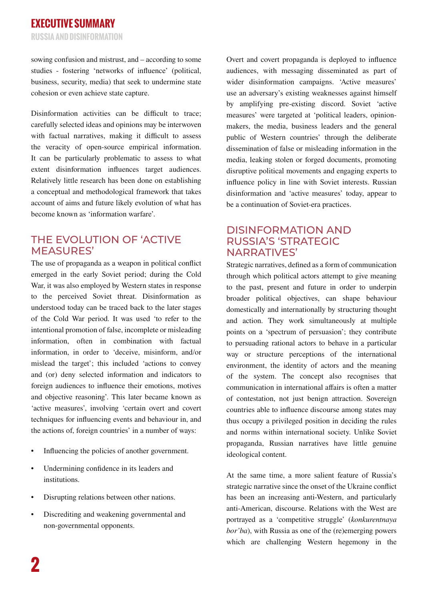sowing confusion and mistrust, and – according to some studies - fostering 'networks of influence' (political, business, security, media) that seek to undermine state cohesion or even achieve state capture.

Disinformation activities can be difficult to trace; carefully selected ideas and opinions may be interwoven with factual narratives, making it difficult to assess the veracity of open-source empirical information. It can be particularly problematic to assess to what extent disinformation influences target audiences. Relatively little research has been done on establishing a conceptual and methodological framework that takes account of aims and future likely evolution of what has become known as 'information warfare'.

#### THE EVOLUTION OF 'ACTIVE MEASURES'

The use of propaganda as a weapon in political conflict emerged in the early Soviet period; during the Cold War, it was also employed by Western states in response to the perceived Soviet threat. Disinformation as understood today can be traced back to the later stages of the Cold War period. It was used 'to refer to the intentional promotion of false, incomplete or misleading information, often in combination with factual information, in order to 'deceive, misinform, and/or mislead the target'; this included 'actions to convey and (or) deny selected information and indicators to foreign audiences to influence their emotions, motives and objective reasoning'. This later became known as 'active measures', involving 'certain overt and covert techniques for influencing events and behaviour in, and the actions of, foreign countries' in a number of ways:

- Influencing the policies of another government.
- Undermining confidence in its leaders and institutions.
- Disrupting relations between other nations.
- Discrediting and weakening governmental and non-governmental opponents.

Overt and covert propaganda is deployed to influence audiences, with messaging disseminated as part of wider disinformation campaigns. 'Active measures' use an adversary's existing weaknesses against himself by amplifying pre-existing discord. Soviet 'active measures' were targeted at 'political leaders, opinionmakers, the media, business leaders and the general public of Western countries' through the deliberate dissemination of false or misleading information in the media, leaking stolen or forged documents, promoting disruptive political movements and engaging experts to influence policy in line with Soviet interests. Russian disinformation and 'active measures' today, appear to be a continuation of Soviet-era practices.

#### DISINFORMATION AND RUSSIA'S 'STRATEGIC NARRATIVES'

Strategic narratives, defined as a form of communication through which political actors attempt to give meaning to the past, present and future in order to underpin broader political objectives, can shape behaviour domestically and internationally by structuring thought and action. They work simultaneously at multiple points on a 'spectrum of persuasion'; they contribute to persuading rational actors to behave in a particular way or structure perceptions of the international environment, the identity of actors and the meaning of the system. The concept also recognises that communication in international affairs is often a matter of contestation, not just benign attraction. Sovereign countries able to influence discourse among states may thus occupy a privileged position in deciding the rules and norms within international society. Unlike Soviet propaganda, Russian narratives have little genuine ideological content.

At the same time, a more salient feature of Russia's strategic narrative since the onset of the Ukraine conflict has been an increasing anti-Western, and particularly anti-American, discourse. Relations with the West are portrayed as a 'competitive struggle' (*konkurentnaya bor'ba*), with Russia as one of the (re)emerging powers which are challenging Western hegemony in the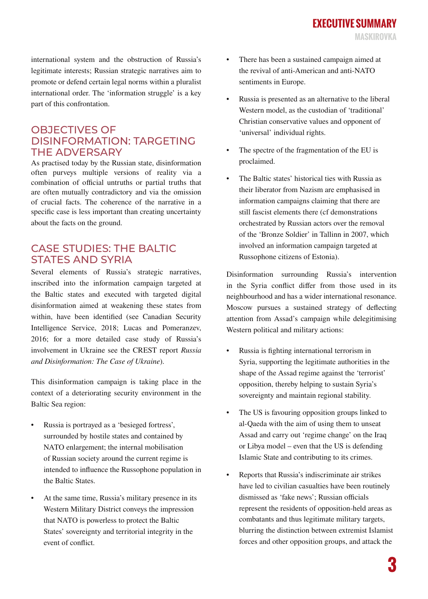international system and the obstruction of Russia's legitimate interests; Russian strategic narratives aim to promote or defend certain legal norms within a pluralist international order. The 'information struggle' is a key part of this confrontation.

#### OBJECTIVES OF DISINFORMATION: TARGETING THE ADVERSARY

As practised today by the Russian state, disinformation often purveys multiple versions of reality via a combination of official untruths or partial truths that are often mutually contradictory and via the omission of crucial facts. The coherence of the narrative in a specific case is less important than creating uncertainty about the facts on the ground.

#### CASE STUDIES: THE BALTIC STATES AND SYRIA

Several elements of Russia's strategic narratives, inscribed into the information campaign targeted at the Baltic states and executed with targeted digital disinformation aimed at weakening these states from within, have been identified (see Canadian Security Intelligence Service, 2018; Lucas and Pomeranzev, 2016; for a more detailed case study of Russia's involvement in Ukraine see the CREST report *Russia and Disinformation: The Case of Ukraine*).

This disinformation campaign is taking place in the context of a deteriorating security environment in the Baltic Sea region:

- Russia is portrayed as a 'besieged fortress', surrounded by hostile states and contained by NATO enlargement; the internal mobilisation of Russian society around the current regime is intended to influence the Russophone population in the Baltic States.
- At the same time, Russia's military presence in its Western Military District conveys the impression that NATO is powerless to protect the Baltic States' sovereignty and territorial integrity in the event of conflict.
- There has been a sustained campaign aimed at the revival of anti-American and anti-NATO sentiments in Europe.
- Russia is presented as an alternative to the liberal Western model, as the custodian of 'traditional' Christian conservative values and opponent of 'universal' individual rights.
- The spectre of the fragmentation of the EU is proclaimed.
- The Baltic states' historical ties with Russia as their liberator from Nazism are emphasised in information campaigns claiming that there are still fascist elements there (cf demonstrations orchestrated by Russian actors over the removal of the 'Bronze Soldier' in Tallinn in 2007, which involved an information campaign targeted at Russophone citizens of Estonia).

Disinformation surrounding Russia's intervention in the Syria conflict differ from those used in its neighbourhood and has a wider international resonance. Moscow pursues a sustained strategy of deflecting attention from Assad's campaign while delegitimising Western political and military actions:

- Russia is fighting international terrorism in Syria, supporting the legitimate authorities in the shape of the Assad regime against the 'terrorist' opposition, thereby helping to sustain Syria's sovereignty and maintain regional stability.
- The US is favouring opposition groups linked to al-Qaeda with the aim of using them to unseat Assad and carry out 'regime change' on the Iraq or Libya model – even that the US is defending Islamic State and contributing to its crimes.
- Reports that Russia's indiscriminate air strikes have led to civilian casualties have been routinely dismissed as 'fake news'; Russian officials represent the residents of opposition-held areas as combatants and thus legitimate military targets, blurring the distinction between extremist Islamist forces and other opposition groups, and attack the